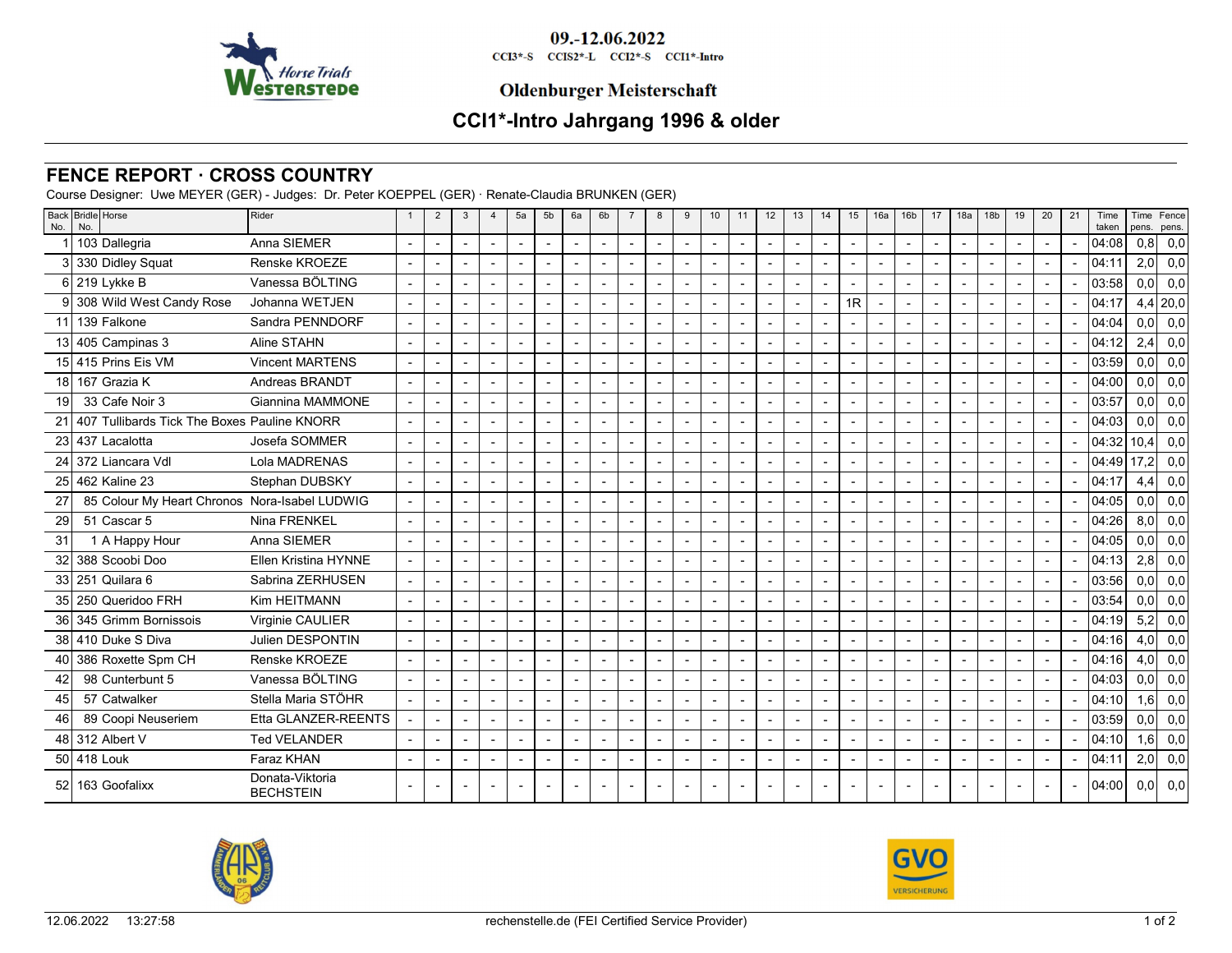

09.-12.06.2022 CCI3\*-S CCIS2\*-L CCI2\*-S CCI1\*-Intro

### **Oldenburger Meisterschaft**

# **CCI1\*-Intro Jahrgang 1996 & older**

#### **FENCE REPORT · CROSS COUNTRY**

Course Designer: Uwe MEYER (GER) - Judges: Dr. Peter KOEPPEL (GER) · Renate-Claudia BRUNKEN (GER)

| No.             | Back Bridle Horse<br>No.                      | Rider                               | $\overline{2}$           | 3 | $\overline{4}$           | 5a                       | 5 <sub>b</sub> | 6a | 6 <sub>b</sub>           | $\overline{7}$ | 8              | 9 | 10                       | 11                       | 12                       | 13                       | 14                       | 15                       | 16a                      | 16 <sub>b</sub>          | 17                       | 18a            | 18 <sub>b</sub> | 19             | 20 | 21             | Time<br>taken | Time<br>pens.    | Fence<br>pens. |
|-----------------|-----------------------------------------------|-------------------------------------|--------------------------|---|--------------------------|--------------------------|----------------|----|--------------------------|----------------|----------------|---|--------------------------|--------------------------|--------------------------|--------------------------|--------------------------|--------------------------|--------------------------|--------------------------|--------------------------|----------------|-----------------|----------------|----|----------------|---------------|------------------|----------------|
|                 | 103 Dallegria                                 | Anna SIEMER                         | $\blacksquare$           |   | $\overline{\phantom{a}}$ | $\blacksquare$           | $\blacksquare$ |    | $\overline{\phantom{a}}$ | $\blacksquare$ | $\overline{a}$ |   | $\overline{\phantom{a}}$ | $\overline{a}$           | $\overline{a}$           | $\overline{\phantom{a}}$ | $\overline{\phantom{a}}$ | $\overline{\phantom{a}}$ | $\overline{a}$           | $\blacksquare$           | $\overline{a}$           | $\blacksquare$ | $\blacksquare$  | $\blacksquare$ |    | $\overline{a}$ | 04:08         | 0,8              | 0,0            |
|                 | 3 330 Didley Squat                            | Renske KROEZE                       | $\blacksquare$           |   |                          | $\overline{a}$           |                |    | $\blacksquare$           |                |                |   |                          |                          |                          | $\blacksquare$           |                          |                          |                          |                          |                          |                |                 |                |    |                | 04:11         | 2,0              | 0,0            |
|                 | 6 219 Lykke B                                 | Vanessa BÖLTING                     | $\blacksquare$           |   | $\overline{a}$           |                          |                |    | $\overline{a}$           |                |                |   |                          |                          |                          | $\blacksquare$           |                          | $\overline{\phantom{a}}$ |                          | $\blacksquare$           |                          | $\overline{a}$ |                 |                |    |                | 03:58         | 0,0              | 0,0            |
|                 | 9 308 Wild West Candy Rose                    | Johanna WETJEN                      | $\blacksquare$           |   | $\overline{a}$           |                          |                |    | $\blacksquare$           |                |                |   |                          |                          |                          | $\blacksquare$           |                          | 1R                       |                          |                          |                          |                |                 |                |    |                | 04:17         |                  | $4,4$ 20,0     |
|                 | 11 139 Falkone                                | Sandra PENNDORF                     | $\blacksquare$           |   | $\blacksquare$           |                          |                |    | $\overline{\phantom{a}}$ |                |                |   |                          |                          |                          | $\blacksquare$           |                          | $\overline{\phantom{a}}$ |                          | $\overline{\phantom{a}}$ |                          |                |                 |                |    |                | 04:04         | 0.01             | 0,0            |
|                 | 13 405 Campinas 3                             | Aline STAHN                         | $\overline{\phantom{a}}$ |   | $\overline{\phantom{a}}$ |                          |                |    | $\overline{\phantom{a}}$ |                |                |   |                          |                          |                          | $\overline{a}$           |                          | $\overline{\phantom{a}}$ | $\overline{a}$           | $\overline{a}$           |                          |                |                 |                |    |                | 04:12         | 2,4              | 0,0            |
|                 | 15 415 Prins Eis VM                           | <b>Vincent MARTENS</b>              | $\blacksquare$           |   |                          |                          |                |    | $\blacksquare$           |                |                |   |                          |                          |                          | $\blacksquare$           |                          | $\blacksquare$           | $\blacksquare$           | $\overline{\phantom{a}}$ |                          |                |                 |                |    |                | 03:59         | 0.0 <sub>l</sub> | 0,0            |
|                 | 18 167 Grazia K                               | Andreas BRANDT                      | $\overline{\phantom{a}}$ |   | $\overline{\phantom{a}}$ | $\overline{a}$           |                |    | $\overline{\phantom{a}}$ |                |                |   |                          |                          |                          | $\blacksquare$           |                          | $\overline{\phantom{a}}$ | $\blacksquare$           |                          |                          |                |                 |                |    |                | 04:00         | 0.0 <sub>l</sub> | 0,0            |
| 19              | 33 Cafe Noir 3                                | Giannina MAMMONE                    | $\overline{\phantom{a}}$ |   |                          |                          |                |    | $\overline{\phantom{a}}$ |                |                |   |                          |                          |                          | $\blacksquare$           |                          | $\overline{\phantom{a}}$ | $\blacksquare$           |                          |                          |                |                 |                |    |                | 03:57         | 0.01             | 0,0            |
| 21              | 407 Tullibards Tick The Boxes Pauline KNORR   |                                     | $\blacksquare$           |   | $\overline{\phantom{a}}$ | $\blacksquare$           |                |    | $\overline{\phantom{a}}$ |                | $\overline{a}$ |   |                          |                          | $\overline{a}$           | $\blacksquare$           |                          | $\overline{\phantom{a}}$ | $\blacksquare$           | $\blacksquare$           | $\overline{a}$           | $\overline{a}$ |                 |                |    |                | 04:03         | 0,0              | 0,0            |
| 23              | 437 Lacalotta                                 | Josefa SOMMER                       | $\overline{\phantom{a}}$ |   |                          |                          |                |    | $\blacksquare$           |                |                |   |                          |                          |                          | $\blacksquare$           |                          | $\overline{\phantom{a}}$ |                          |                          |                          |                |                 |                |    |                | 04:32         | 10.4             | 0,0            |
|                 | 24 372 Liancara Vdl                           | Lola MADRENAS                       | $\blacksquare$           |   | $\overline{\phantom{a}}$ | $\overline{\phantom{a}}$ |                |    | $\blacksquare$           |                |                |   |                          |                          |                          | $\blacksquare$           |                          | $\blacksquare$           | $\overline{a}$           | $\blacksquare$           |                          |                |                 |                |    |                | 04:49         | l 17             | 0,0            |
| 25              | 462 Kaline 23                                 | Stephan DUBSKY                      | $\blacksquare$           |   | $\blacksquare$           |                          |                |    | $\blacksquare$           |                |                |   |                          |                          |                          | $\blacksquare$           |                          | $\blacksquare$           | $\blacksquare$           | $\blacksquare$           |                          |                |                 |                |    |                | 04:17         | 4.4              | 0,0            |
| 27              | 85 Colour My Heart Chronos Nora-Isabel LUDWIG |                                     | $\blacksquare$           |   | $\overline{\phantom{a}}$ | $\blacksquare$           |                |    | $\blacksquare$           |                |                |   |                          | $\overline{\phantom{a}}$ |                          | $\blacksquare$           |                          | $\overline{\phantom{a}}$ | $\overline{\phantom{a}}$ | $\blacksquare$           |                          | $\blacksquare$ |                 |                |    |                | 04:05         | 0,0              | 0,0            |
| $\overline{29}$ | 51 Cascar 5                                   | Nina FRENKEL                        |                          |   |                          |                          |                |    |                          |                |                |   |                          |                          |                          |                          |                          | $\overline{\phantom{a}}$ |                          |                          |                          |                |                 |                |    |                | 04:26         | 8.0 <sub>l</sub> | 0,0            |
| 31              | 1 A Happy Hour                                | Anna SIEMER                         | $\blacksquare$           |   | $\overline{\phantom{a}}$ | $\overline{a}$           |                |    | $\overline{\phantom{a}}$ |                |                |   |                          |                          |                          | $\blacksquare$           |                          | $\overline{\phantom{a}}$ |                          |                          | $\overline{a}$           |                |                 |                |    |                | 04:05         | 0.0 <sub>l</sub> | 0,0            |
| 32              | 388 Scoobi Doo                                | Ellen Kristina HYNNE                | $\blacksquare$           |   |                          |                          |                |    | $\overline{a}$           |                |                |   |                          |                          |                          | $\overline{a}$           |                          | $\overline{\phantom{a}}$ | $\blacksquare$           |                          |                          |                |                 |                |    |                | 04:13         | 2.8              | 0,0            |
|                 | 33 251 Quilara 6                              | Sabrina ZERHUSEN                    | $\overline{\phantom{a}}$ |   | $\overline{\phantom{a}}$ | $\blacksquare$           |                |    | $\blacksquare$           |                |                |   |                          |                          |                          | $\overline{\phantom{a}}$ |                          | $\overline{\phantom{a}}$ |                          | $\overline{\phantom{a}}$ | $\overline{\phantom{a}}$ | $\overline{a}$ |                 |                |    |                | 03:56         | 0,0              | 0,0            |
| 35 <sub>1</sub> | 250 Queridoo FRH                              | Kim HEITMANN                        |                          |   |                          |                          |                |    |                          |                |                |   |                          |                          |                          | ÷,                       |                          | $\overline{\phantom{a}}$ |                          |                          |                          |                |                 |                |    |                | 03:54         | 0.01             | 0,0            |
| 36              | 345 Grimm Bornissois                          | Virginie CAULIER                    | $\blacksquare$           |   | $\sim$                   | ÷,                       |                |    | $\overline{a}$           | $\overline{a}$ | $\overline{a}$ |   | $\overline{a}$           |                          | $\overline{\phantom{a}}$ | $\blacksquare$           |                          | $\overline{\phantom{a}}$ |                          | $\overline{a}$           | $\overline{a}$           | $\overline{a}$ |                 |                |    |                | 04:19         | 5,2              | 0,0            |
|                 | 38 410 Duke S Diva                            | <b>Julien DESPONTIN</b>             | $\blacksquare$           |   |                          |                          |                |    |                          |                |                |   |                          |                          |                          | $\overline{\phantom{a}}$ |                          | $\overline{\phantom{a}}$ |                          |                          |                          |                |                 |                |    |                | 04:16         | 4.0              | 0,0            |
| 40              | 386 Roxette Spm CH                            | Renske KROEZE                       | $\blacksquare$           |   | $\overline{\phantom{a}}$ |                          |                |    | $\blacksquare$           |                |                |   |                          |                          |                          | $\blacksquare$           |                          | $\overline{\phantom{a}}$ |                          |                          |                          | $\blacksquare$ |                 |                |    |                | 04:16         | 4,0              | 0,0            |
| 42              | 98 Cunterbunt 5                               | Vanessa BÖLTING                     | $\overline{\phantom{a}}$ |   |                          |                          |                |    |                          |                |                |   |                          |                          |                          | $\overline{a}$           |                          | $\overline{\phantom{a}}$ |                          |                          |                          |                |                 |                |    |                | 04:03         | 0.01             | 0,0            |
| 45              | 57 Catwalker                                  | Stella Maria STÖHR                  | $\blacksquare$           |   | $\sim$                   | ÷,                       |                |    | $\blacksquare$           | ÷,             | $\overline{a}$ |   |                          |                          | $\overline{a}$           | $\blacksquare$           |                          | $\overline{\phantom{a}}$ | $\overline{a}$           | $\overline{a}$           | $\overline{a}$           | $\overline{a}$ |                 |                |    |                | 04:10         | 1,6              | 0,0            |
| 46              | 89 Coopi Neuseriem                            | Etta GLANZER-REENTS                 |                          |   | $\overline{\phantom{a}}$ |                          |                |    |                          |                |                |   |                          |                          |                          | $\blacksquare$           |                          | $\overline{\phantom{a}}$ |                          |                          |                          | $\blacksquare$ |                 |                |    |                | 03:59         | 0.0              | 0,0            |
|                 | 48 312 Albert V                               | <b>Ted VELANDER</b>                 | $\blacksquare$           |   | $\overline{\phantom{a}}$ | $\overline{a}$           |                |    | $\blacksquare$           | $\blacksquare$ | $\overline{a}$ |   |                          |                          | $\overline{\phantom{a}}$ | $\blacksquare$           |                          | $\overline{\phantom{a}}$ |                          |                          |                          | $\blacksquare$ |                 |                |    |                | 04:10         | 1,6              | 0,0            |
|                 | 50 418 Louk                                   | Faraz KHAN                          |                          |   | $\overline{a}$           |                          |                |    | $\overline{\phantom{a}}$ |                |                |   |                          |                          |                          | $\overline{\phantom{a}}$ |                          | $\overline{a}$           |                          |                          |                          |                |                 |                |    |                | 04:11         | 2,0              | 0,0            |
|                 | 52 163 Goofalixx                              | Donata-Viktoria<br><b>BECHSTEIN</b> |                          |   |                          |                          |                |    |                          |                |                |   |                          |                          |                          |                          |                          |                          |                          |                          |                          |                |                 |                |    |                | 04:00         | 0.0 <sub>l</sub> | 0,0            |